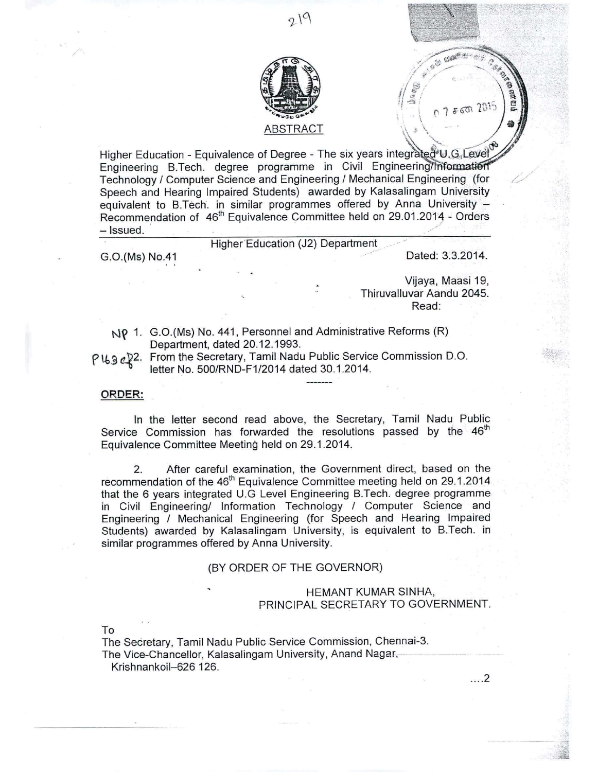

219

山山山 07860 2015 ;.

.~.

Higher Education - Equivalence of Degree - The six years integrated U.G. Level Engineering B.Tech. degree programme in Civil Engineering/Information Technology / Computer Science and Engineering / Mechanical Engineering (for Speech and Hearing Impaired Students) awarded by Kalasalingam University equivalent to B.Tech. in similar programmes offered by Anna University  $-$ Recommendation of 46<sup>th</sup> Equivalence Committee held on 29.01.2014 - Orders - Issued.

G.O.(Ms) No.41

Higher Education (J2) Department

Dated: 3.3.2014.

Vijaya, Maasi 19, Thiruvalluvar Aandu 2045. Read:

## NP 1. G.O.(Ms) No. 441, Personnel and Administrative Reforms (R) Department, dated 20.12.1993.

P U<sub>3</sub> eV<sub>2</sub>. From the Secretary, Tamil Nadu Public Service Commission D.O. letter No. 500/RND-F1/2014 dated 30.1.2014.

## **ORDER:**

In the letter second read above, the Secretary, Tamil Nadu Public Service Commission has forwarded the resolutions passed by the 46<sup>th</sup> Equivalence Committee Meeting held on 29.1.2014.

2. After careful examination, the Government direct, based on the recommendation of the 46<sup>th</sup> Equivalence Committee meeting held on 29.1.2014 that the 6 years integrated U.G Level Engineering B.Tech. degree programme in Civil Engineering/ Information Technology / Computer Science and Engineering / Mechanical Engineering (for Speech and Hearing Impaired Students) awarded by Kalasalingam University, is equivalent to B.Tech. in similar programmes offered by Anna University.

## (BY ORDER OF THE GOVERNOR)

## HEMANT KUMAR SINHA, PRINCIPAL SECRETARY TO GOVERNMENT.

To

The Secretary, Tamil Nadu Public Service Commission, Chennai-3. The Vice-Chancellor, Kalasalingam University, Anand Nagar,-Krishnankoil-626 126.

.... 2